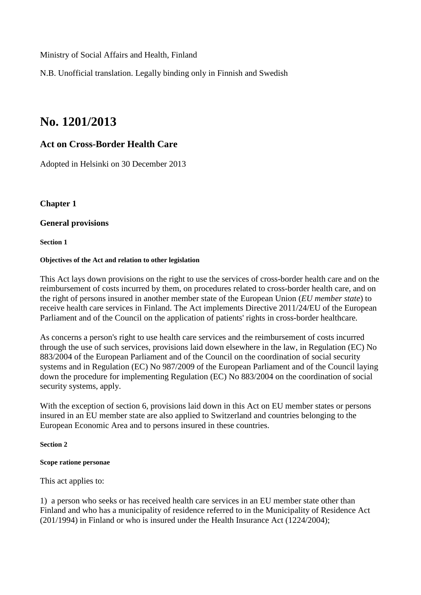Ministry of Social Affairs and Health, Finland

N.B. Unofficial translation. Legally binding only in Finnish and Swedish

# **No. 1201/2013**

# **Act on Cross-Border Health Care**

Adopted in Helsinki on 30 December 2013

**Chapter 1**

# **General provisions**

**Section 1**

# **Objectives of the Act and relation to other legislation**

This Act lays down provisions on the right to use the services of cross-border health care and on the reimbursement of costs incurred by them, on procedures related to cross-border health care, and on the right of persons insured in another member state of the European Union (*EU member state*) to receive health care services in Finland. The Act implements Directive 2011/24/EU of the European Parliament and of the Council on the application of patients' rights in cross-border healthcare*.*

As concerns a person's right to use health care services and the reimbursement of costs incurred through the use of such services, provisions laid down elsewhere in the law, in Regulation (EC) No 883/2004 of the European Parliament and of the Council on the coordination of social security systems and in Regulation (EC) No 987/2009 of the European Parliament and of the Council laying down the procedure for implementing Regulation (EC) No 883/2004 on the coordination of social security systems, apply.

With the exception of section 6, provisions laid down in this Act on EU member states or persons insured in an EU member state are also applied to Switzerland and countries belonging to the European Economic Area and to persons insured in these countries.

# **Section 2**

# **Scope ratione personae**

This act applies to:

1) a person who seeks or has received health care services in an EU member state other than Finland and who has a municipality of residence referred to in the Municipality of Residence Act (201/1994) in Finland or who is insured under the Health Insurance Act (1224/2004);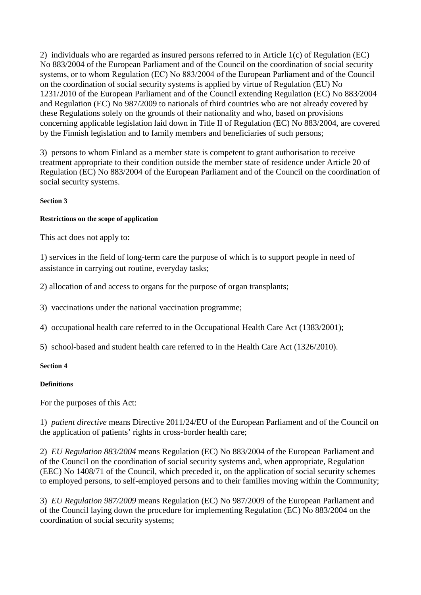2) individuals who are regarded as insured persons referred to in Article 1(c) of Regulation (EC) No 883/2004 of the European Parliament and of the Council on the coordination of social security systems, or to whom Regulation (EC) No 883/2004 of the European Parliament and of the Council on the coordination of social security systems is applied by virtue of Regulation (EU) No 1231/2010 of the European Parliament and of the Council extending Regulation (EC) No 883/2004 and Regulation (EC) No 987/2009 to nationals of third countries who are not already covered by these Regulations solely on the grounds of their nationality and who, based on provisions concerning applicable legislation laid down in Title II of Regulation (EC) No 883/2004, are covered by the Finnish legislation and to family members and beneficiaries of such persons;

3) persons to whom Finland as a member state is competent to grant authorisation to receive treatment appropriate to their condition outside the member state of residence under Article 20 of Regulation (EC) No 883/2004 of the European Parliament and of the Council on the coordination of social security systems.

# **Section 3**

#### **Restrictions on the scope of application**

This act does not apply to:

1) services in the field of long-term care the purpose of which is to support people in need of assistance in carrying out routine, everyday tasks;

2) allocation of and access to organs for the purpose of organ transplants;

3) vaccinations under the national vaccination programme;

4) occupational health care referred to in the Occupational Health Care Act (1383/2001);

5) school-based and student health care referred to in the Health Care Act (1326/2010).

#### **Section 4**

# **Definitions**

For the purposes of this Act:

1) *patient directive* means Directive 2011/24/EU of the European Parliament and of the Council on the application of patients' rights in cross-border health care;

2) *EU Regulation 883/2004* means Regulation (EC) No 883/2004 of the European Parliament and of the Council on the coordination of social security systems and, when appropriate, Regulation (EEC) No 1408/71 of the Council, which preceded it, on the application of social security schemes to employed persons, to self-employed persons and to their families moving within the Community;

3) *EU Regulation 987/2009* means Regulation (EC) No 987/2009 of the European Parliament and of the Council laying down the procedure for implementing Regulation (EC) No 883/2004 on the coordination of social security systems;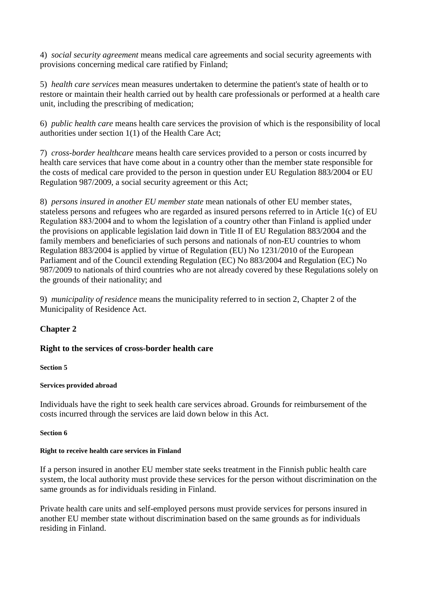4) *social security agreement* means medical care agreements and social security agreements with provisions concerning medical care ratified by Finland;

5) *health care services* mean measures undertaken to determine the patient's state of health or to restore or maintain their health carried out by health care professionals or performed at a health care unit, including the prescribing of medication;

6) *public health care* means health care services the provision of which is the responsibility of local authorities under section 1(1) of the Health Care Act;

7) *cross-border healthcare* means health care services provided to a person or costs incurred by health care services that have come about in a country other than the member state responsible for the costs of medical care provided to the person in question under EU Regulation 883/2004 or EU Regulation 987/2009, a social security agreement or this Act;

8) *persons insured in another EU member state* mean nationals of other EU member states, stateless persons and refugees who are regarded as insured persons referred to in Article 1(c) of EU Regulation 883/2004 and to whom the legislation of a country other than Finland is applied under the provisions on applicable legislation laid down in Title II of EU Regulation 883/2004 and the family members and beneficiaries of such persons and nationals of non-EU countries to whom Regulation 883/2004 is applied by virtue of Regulation (EU) No 1231/2010 of the European Parliament and of the Council extending Regulation (EC) No 883/2004 and Regulation (EC) No 987/2009 to nationals of third countries who are not already covered by these Regulations solely on the grounds of their nationality; and

9) *municipality of residence* means the municipality referred to in section 2, Chapter 2 of the Municipality of Residence Act.

# **Chapter 2**

# **Right to the services of cross-border health care**

#### **Section 5**

# **Services provided abroad**

Individuals have the right to seek health care services abroad. Grounds for reimbursement of the costs incurred through the services are laid down below in this Act.

#### **Section 6**

#### **Right to receive health care services in Finland**

If a person insured in another EU member state seeks treatment in the Finnish public health care system, the local authority must provide these services for the person without discrimination on the same grounds as for individuals residing in Finland.

Private health care units and self-employed persons must provide services for persons insured in another EU member state without discrimination based on the same grounds as for individuals residing in Finland.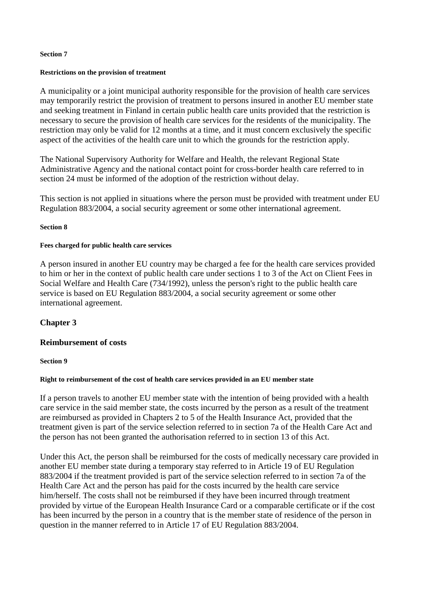#### **Section 7**

#### **Restrictions on the provision of treatment**

A municipality or a joint municipal authority responsible for the provision of health care services may temporarily restrict the provision of treatment to persons insured in another EU member state and seeking treatment in Finland in certain public health care units provided that the restriction is necessary to secure the provision of health care services for the residents of the municipality. The restriction may only be valid for 12 months at a time, and it must concern exclusively the specific aspect of the activities of the health care unit to which the grounds for the restriction apply.

The National Supervisory Authority for Welfare and Health, the relevant Regional State Administrative Agency and the national contact point for cross-border health care referred to in section 24 must be informed of the adoption of the restriction without delay.

This section is not applied in situations where the person must be provided with treatment under EU Regulation 883/2004, a social security agreement or some other international agreement.

#### **Section 8**

#### **Fees charged for public health care services**

A person insured in another EU country may be charged a fee for the health care services provided to him or her in the context of public health care under sections 1 to 3 of the Act on Client Fees in Social Welfare and Health Care (734/1992), unless the person's right to the public health care service is based on EU Regulation 883/2004, a social security agreement or some other international agreement.

# **Chapter 3**

# **Reimbursement of costs**

#### **Section 9**

#### **Right to reimbursement of the cost of health care services provided in an EU member state**

If a person travels to another EU member state with the intention of being provided with a health care service in the said member state, the costs incurred by the person as a result of the treatment are reimbursed as provided in Chapters 2 to 5 of the Health Insurance Act, provided that the treatment given is part of the service selection referred to in section 7a of the Health Care Act and the person has not been granted the authorisation referred to in section 13 of this Act.

Under this Act, the person shall be reimbursed for the costs of medically necessary care provided in another EU member state during a temporary stay referred to in Article 19 of EU Regulation 883/2004 if the treatment provided is part of the service selection referred to in section 7a of the Health Care Act and the person has paid for the costs incurred by the health care service him/herself. The costs shall not be reimbursed if they have been incurred through treatment provided by virtue of the European Health Insurance Card or a comparable certificate or if the cost has been incurred by the person in a country that is the member state of residence of the person in question in the manner referred to in Article 17 of EU Regulation 883/2004.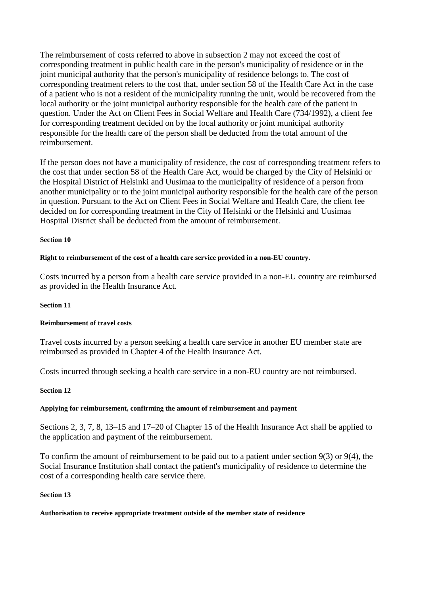The reimbursement of costs referred to above in subsection 2 may not exceed the cost of corresponding treatment in public health care in the person's municipality of residence or in the joint municipal authority that the person's municipality of residence belongs to. The cost of corresponding treatment refers to the cost that, under section 58 of the Health Care Act in the case of a patient who is not a resident of the municipality running the unit, would be recovered from the local authority or the joint municipal authority responsible for the health care of the patient in question. Under the Act on Client Fees in Social Welfare and Health Care (734/1992), a client fee for corresponding treatment decided on by the local authority or joint municipal authority responsible for the health care of the person shall be deducted from the total amount of the reimbursement.

If the person does not have a municipality of residence, the cost of corresponding treatment refers to the cost that under section 58 of the Health Care Act, would be charged by the City of Helsinki or the Hospital District of Helsinki and Uusimaa to the municipality of residence of a person from another municipality or to the joint municipal authority responsible for the health care of the person in question. Pursuant to the Act on Client Fees in Social Welfare and Health Care, the client fee decided on for corresponding treatment in the City of Helsinki or the Helsinki and Uusimaa Hospital District shall be deducted from the amount of reimbursement.

#### **Section 10**

#### **Right to reimbursement of the cost of a health care service provided in a non-EU country.**

Costs incurred by a person from a health care service provided in a non-EU country are reimbursed as provided in the Health Insurance Act.

#### **Section 11**

#### **Reimbursement of travel costs**

Travel costs incurred by a person seeking a health care service in another EU member state are reimbursed as provided in Chapter 4 of the Health Insurance Act.

Costs incurred through seeking a health care service in a non-EU country are not reimbursed.

#### **Section 12**

#### **Applying for reimbursement, confirming the amount of reimbursement and payment**

Sections 2, 3, 7, 8, 13–15 and 17–20 of Chapter 15 of the Health Insurance Act shall be applied to the application and payment of the reimbursement.

To confirm the amount of reimbursement to be paid out to a patient under section 9(3) or 9(4), the Social Insurance Institution shall contact the patient's municipality of residence to determine the cost of a corresponding health care service there.

#### **Section 13**

#### **Authorisation to receive appropriate treatment outside of the member state of residence**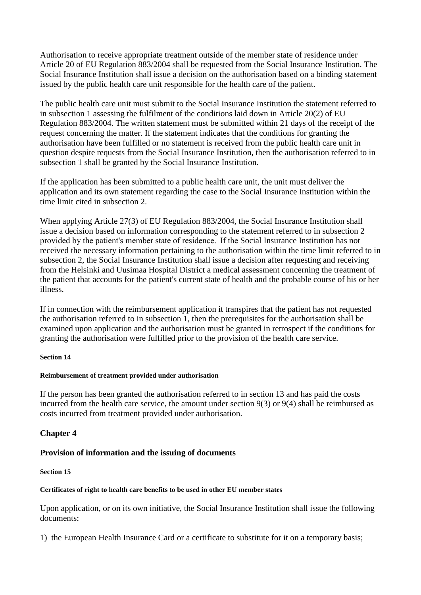Authorisation to receive appropriate treatment outside of the member state of residence under Article 20 of EU Regulation 883/2004 shall be requested from the Social Insurance Institution. The Social Insurance Institution shall issue a decision on the authorisation based on a binding statement issued by the public health care unit responsible for the health care of the patient.

The public health care unit must submit to the Social Insurance Institution the statement referred to in subsection 1 assessing the fulfilment of the conditions laid down in Article 20(2) of EU Regulation 883/2004. The written statement must be submitted within 21 days of the receipt of the request concerning the matter. If the statement indicates that the conditions for granting the authorisation have been fulfilled or no statement is received from the public health care unit in question despite requests from the Social Insurance Institution, then the authorisation referred to in subsection 1 shall be granted by the Social Insurance Institution.

If the application has been submitted to a public health care unit, the unit must deliver the application and its own statement regarding the case to the Social Insurance Institution within the time limit cited in subsection 2.

When applying Article 27(3) of EU Regulation 883/2004, the Social Insurance Institution shall issue a decision based on information corresponding to the statement referred to in subsection 2 provided by the patient's member state of residence.  If the Social Insurance Institution has not received the necessary information pertaining to the authorisation within the time limit referred to in subsection 2, the Social Insurance Institution shall issue a decision after requesting and receiving from the Helsinki and Uusimaa Hospital District a medical assessment concerning the treatment of the patient that accounts for the patient's current state of health and the probable course of his or her illness.

If in connection with the reimbursement application it transpires that the patient has not requested the authorisation referred to in subsection 1, then the prerequisites for the authorisation shall be examined upon application and the authorisation must be granted in retrospect if the conditions for granting the authorisation were fulfilled prior to the provision of the health care service.

# **Section 14**

# **Reimbursement of treatment provided under authorisation**

If the person has been granted the authorisation referred to in section 13 and has paid the costs incurred from the health care service, the amount under section 9(3) or 9(4) shall be reimbursed as costs incurred from treatment provided under authorisation.

# **Chapter 4**

# **Provision of information and the issuing of documents**

# **Section 15**

# **Certificates of right to health care benefits to be used in other EU member states**

Upon application, or on its own initiative, the Social Insurance Institution shall issue the following documents:

1) the European Health Insurance Card or a certificate to substitute for it on a temporary basis;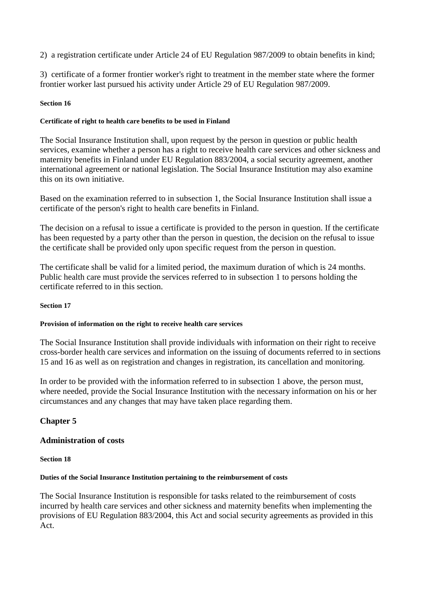# 2) a registration certificate under Article 24 of EU Regulation 987/2009 to obtain benefits in kind;

3) certificate of a former frontier worker's right to treatment in the member state where the former frontier worker last pursued his activity under Article 29 of EU Regulation 987/2009.

#### **Section 16**

#### **Certificate of right to health care benefits to be used in Finland**

The Social Insurance Institution shall, upon request by the person in question or public health services, examine whether a person has a right to receive health care services and other sickness and maternity benefits in Finland under EU Regulation 883/2004, a social security agreement, another international agreement or national legislation. The Social Insurance Institution may also examine this on its own initiative.

Based on the examination referred to in subsection 1, the Social Insurance Institution shall issue a certificate of the person's right to health care benefits in Finland.

The decision on a refusal to issue a certificate is provided to the person in question. If the certificate has been requested by a party other than the person in question, the decision on the refusal to issue the certificate shall be provided only upon specific request from the person in question.

The certificate shall be valid for a limited period, the maximum duration of which is 24 months. Public health care must provide the services referred to in subsection 1 to persons holding the certificate referred to in this section.

#### **Section 17**

#### **Provision of information on the right to receive health care services**

The Social Insurance Institution shall provide individuals with information on their right to receive cross-border health care services and information on the issuing of documents referred to in sections 15 and 16 as well as on registration and changes in registration, its cancellation and monitoring.

In order to be provided with the information referred to in subsection 1 above, the person must, where needed, provide the Social Insurance Institution with the necessary information on his or her circumstances and any changes that may have taken place regarding them.

# **Chapter 5**

#### **Administration of costs**

**Section 18**

#### **Duties of the Social Insurance Institution pertaining to the reimbursement of costs**

The Social Insurance Institution is responsible for tasks related to the reimbursement of costs incurred by health care services and other sickness and maternity benefits when implementing the provisions of EU Regulation 883/2004, this Act and social security agreements as provided in this Act.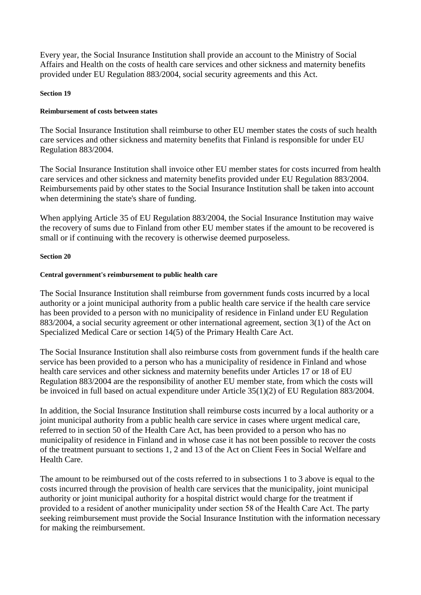Every year, the Social Insurance Institution shall provide an account to the Ministry of Social Affairs and Health on the costs of health care services and other sickness and maternity benefits provided under EU Regulation 883/2004, social security agreements and this Act.

#### **Section 19**

#### **Reimbursement of costs between states**

The Social Insurance Institution shall reimburse to other EU member states the costs of such health care services and other sickness and maternity benefits that Finland is responsible for under EU Regulation 883/2004.

The Social Insurance Institution shall invoice other EU member states for costs incurred from health care services and other sickness and maternity benefits provided under EU Regulation 883/2004. Reimbursements paid by other states to the Social Insurance Institution shall be taken into account when determining the state's share of funding.

When applying Article 35 of EU Regulation 883/2004, the Social Insurance Institution may waive the recovery of sums due to Finland from other EU member states if the amount to be recovered is small or if continuing with the recovery is otherwise deemed purposeless.

#### **Section 20**

#### **Central government's reimbursement to public health care**

The Social Insurance Institution shall reimburse from government funds costs incurred by a local authority or a joint municipal authority from a public health care service if the health care service has been provided to a person with no municipality of residence in Finland under EU Regulation 883/2004, a social security agreement or other international agreement, section 3(1) of the Act on Specialized Medical Care or section 14(5) of the Primary Health Care Act.

The Social Insurance Institution shall also reimburse costs from government funds if the health care service has been provided to a person who has a municipality of residence in Finland and whose health care services and other sickness and maternity benefits under Articles 17 or 18 of EU Regulation 883/2004 are the responsibility of another EU member state, from which the costs will be invoiced in full based on actual expenditure under Article 35(1)(2) of EU Regulation 883/2004.

In addition, the Social Insurance Institution shall reimburse costs incurred by a local authority or a joint municipal authority from a public health care service in cases where urgent medical care, referred to in section 50 of the Health Care Act, has been provided to a person who has no municipality of residence in Finland and in whose case it has not been possible to recover the costs of the treatment pursuant to sections 1, 2 and 13 of the Act on Client Fees in Social Welfare and Health Care.

The amount to be reimbursed out of the costs referred to in subsections 1 to 3 above is equal to the costs incurred through the provision of health care services that the municipality, joint municipal authority or joint municipal authority for a hospital district would charge for the treatment if provided to a resident of another municipality under section 58 of the Health Care Act. The party seeking reimbursement must provide the Social Insurance Institution with the information necessary for making the reimbursement.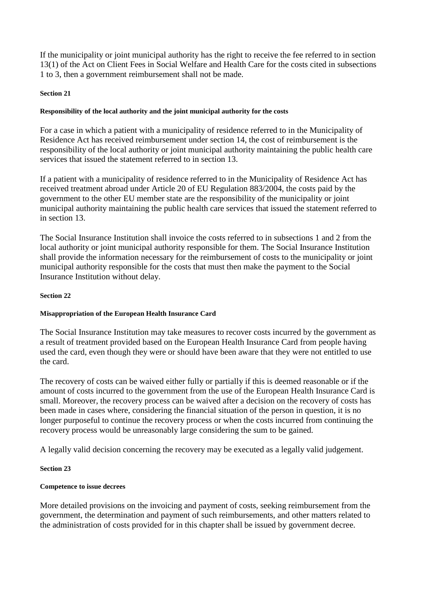If the municipality or joint municipal authority has the right to receive the fee referred to in section 13(1) of the Act on Client Fees in Social Welfare and Health Care for the costs cited in subsections 1 to 3, then a government reimbursement shall not be made.

#### **Section 21**

#### **Responsibility of the local authority and the joint municipal authority for the costs**

For a case in which a patient with a municipality of residence referred to in the Municipality of Residence Act has received reimbursement under section 14, the cost of reimbursement is the responsibility of the local authority or joint municipal authority maintaining the public health care services that issued the statement referred to in section 13.

If a patient with a municipality of residence referred to in the Municipality of Residence Act has received treatment abroad under Article 20 of EU Regulation 883/2004, the costs paid by the government to the other EU member state are the responsibility of the municipality or joint municipal authority maintaining the public health care services that issued the statement referred to in section 13.

The Social Insurance Institution shall invoice the costs referred to in subsections 1 and 2 from the local authority or joint municipal authority responsible for them. The Social Insurance Institution shall provide the information necessary for the reimbursement of costs to the municipality or joint municipal authority responsible for the costs that must then make the payment to the Social Insurance Institution without delay.

#### **Section 22**

# **Misappropriation of the European Health Insurance Card**

The Social Insurance Institution may take measures to recover costs incurred by the government as a result of treatment provided based on the European Health Insurance Card from people having used the card, even though they were or should have been aware that they were not entitled to use the card.

The recovery of costs can be waived either fully or partially if this is deemed reasonable or if the amount of costs incurred to the government from the use of the European Health Insurance Card is small. Moreover, the recovery process can be waived after a decision on the recovery of costs has been made in cases where, considering the financial situation of the person in question, it is no longer purposeful to continue the recovery process or when the costs incurred from continuing the recovery process would be unreasonably large considering the sum to be gained.

A legally valid decision concerning the recovery may be executed as a legally valid judgement.

# **Section 23**

# **Competence to issue decrees**

More detailed provisions on the invoicing and payment of costs, seeking reimbursement from the government, the determination and payment of such reimbursements, and other matters related to the administration of costs provided for in this chapter shall be issued by government decree.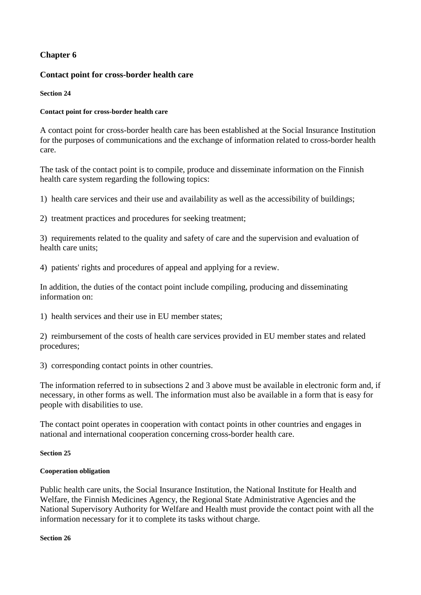# **Chapter 6**

# **Contact point for cross-border health care**

#### **Section 24**

#### **Contact point for cross-border health care**

A contact point for cross-border health care has been established at the Social Insurance Institution for the purposes of communications and the exchange of information related to cross-border health care.

The task of the contact point is to compile, produce and disseminate information on the Finnish health care system regarding the following topics:

1) health care services and their use and availability as well as the accessibility of buildings;

2) treatment practices and procedures for seeking treatment;

3) requirements related to the quality and safety of care and the supervision and evaluation of health care units;

4) patients' rights and procedures of appeal and applying for a review.

In addition, the duties of the contact point include compiling, producing and disseminating information on:

1) health services and their use in EU member states;

2) reimbursement of the costs of health care services provided in EU member states and related procedures;

3) corresponding contact points in other countries.

The information referred to in subsections 2 and 3 above must be available in electronic form and, if necessary, in other forms as well. The information must also be available in a form that is easy for people with disabilities to use.

The contact point operates in cooperation with contact points in other countries and engages in national and international cooperation concerning cross-border health care.

#### **Section 25**

# **Cooperation obligation**

Public health care units, the Social Insurance Institution, the National Institute for Health and Welfare, the Finnish Medicines Agency, the Regional State Administrative Agencies and the National Supervisory Authority for Welfare and Health must provide the contact point with all the information necessary for it to complete its tasks without charge.

**Section 26**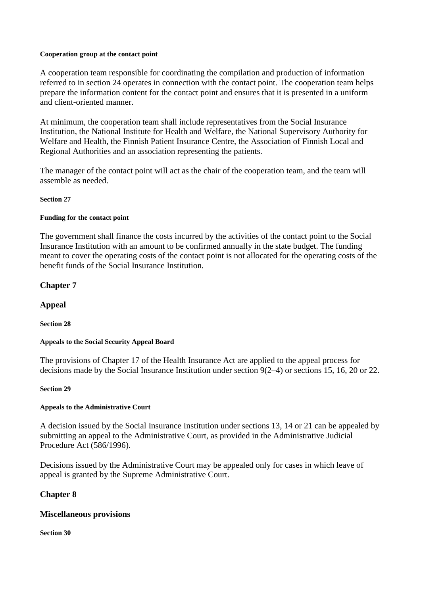#### **Cooperation group at the contact point**

A cooperation team responsible for coordinating the compilation and production of information referred to in section 24 operates in connection with the contact point. The cooperation team helps prepare the information content for the contact point and ensures that it is presented in a uniform and client-oriented manner.

At minimum, the cooperation team shall include representatives from the Social Insurance Institution, the National Institute for Health and Welfare, the National Supervisory Authority for Welfare and Health, the Finnish Patient Insurance Centre, the Association of Finnish Local and Regional Authorities and an association representing the patients.

The manager of the contact point will act as the chair of the cooperation team, and the team will assemble as needed.

#### **Section 27**

# **Funding for the contact point**

The government shall finance the costs incurred by the activities of the contact point to the Social Insurance Institution with an amount to be confirmed annually in the state budget. The funding meant to cover the operating costs of the contact point is not allocated for the operating costs of the benefit funds of the Social Insurance Institution.

# **Chapter 7**

# **Appeal**

**Section 28**

# **Appeals to the Social Security Appeal Board**

The provisions of Chapter 17 of the Health Insurance Act are applied to the appeal process for decisions made by the Social Insurance Institution under section 9(2–4) or sections 15, 16, 20 or 22.

#### **Section 29**

# **Appeals to the Administrative Court**

A decision issued by the Social Insurance Institution under sections 13, 14 or 21 can be appealed by submitting an appeal to the Administrative Court, as provided in the Administrative Judicial Procedure Act (586/1996).

Decisions issued by the Administrative Court may be appealed only for cases in which leave of appeal is granted by the Supreme Administrative Court.

# **Chapter 8**

# **Miscellaneous provisions**

#### **Section 30**